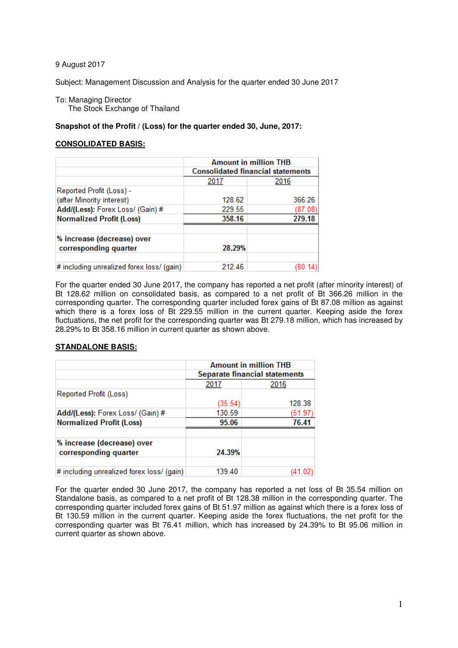9 August 2017

Subject: Management Discussion and Analysis for the quarter ended 30 June 2017

To: Managing Director The Stock Exchange of Thailand

## **Snapshot of the Profit / (Loss) for the quarter ended 30, June, 2017:**

## **CONSOLIDATED BASIS:**

|                                                     | <b>Amount in million THB</b><br><b>Consolidated financial statements</b> |         |  |  |  |
|-----------------------------------------------------|--------------------------------------------------------------------------|---------|--|--|--|
|                                                     | 2017                                                                     | 2016    |  |  |  |
| Reported Profit (Loss) -                            |                                                                          |         |  |  |  |
| (after Minority interest)                           | 128.62                                                                   | 366.26  |  |  |  |
| Add/(Less): Forex Loss/ (Gain) #                    | 229.55                                                                   | (87.08) |  |  |  |
| <b>Normalized Profit (Loss)</b>                     | 358.16                                                                   | 279.18  |  |  |  |
| % increase (decrease) over<br>corresponding quarter | 28.29%                                                                   |         |  |  |  |
| # including unrealized forex loss/ (gain)           | 212.46                                                                   |         |  |  |  |

For the quarter ended 30 June 2017, the company has reported a net profit (after minority interest) of Bt 128.62 million on consolidated basis, as compared to a net profit of Bt 366.26 million in the corresponding quarter. The corresponding quarter included forex gains of Bt 87.08 million as against which there is a forex loss of Bt 229.55 million in the current quarter. Keeping aside the forex fluctuations, the net profit for the corresponding quarter was Bt 279.18 million, which has increased by 28.29% to Bt 358.16 million in current quarter as shown above.

## **STANDALONE BASIS:**

|                                           | <b>Amount in million THB</b><br>Separate financial statements |         |  |  |
|-------------------------------------------|---------------------------------------------------------------|---------|--|--|
|                                           |                                                               |         |  |  |
|                                           | 2017<br>2016                                                  |         |  |  |
| Reported Profit (Loss)                    |                                                               |         |  |  |
|                                           | (35.54)                                                       | 128.38  |  |  |
| Add/(Less): Forex Loss/ (Gain) #          | 130.59                                                        | (51.97) |  |  |
| <b>Normalized Profit (Loss)</b>           | 95.06                                                         | 76.41   |  |  |
|                                           |                                                               |         |  |  |
| % increase (decrease) over                |                                                               |         |  |  |
| corresponding quarter                     | 24.39%                                                        |         |  |  |
|                                           |                                                               |         |  |  |
| # including unrealized forex loss/ (gain) | 139.40                                                        |         |  |  |

For the quarter ended 30 June 2017, the company has reported a net loss of Bt 35.54 million on Standalone basis, as compared to a net profit of Bt 128.38 million in the corresponding quarter. The corresponding quarter included forex gains of Bt 51.97 million as against which there is a forex loss of Bt 130.59 million in the current quarter. Keeping aside the forex fluctuations, the net profit for the corresponding quarter was Bt 76.41 million, which has increased by 24.39% to Bt 95.06 million in current quarter as shown above.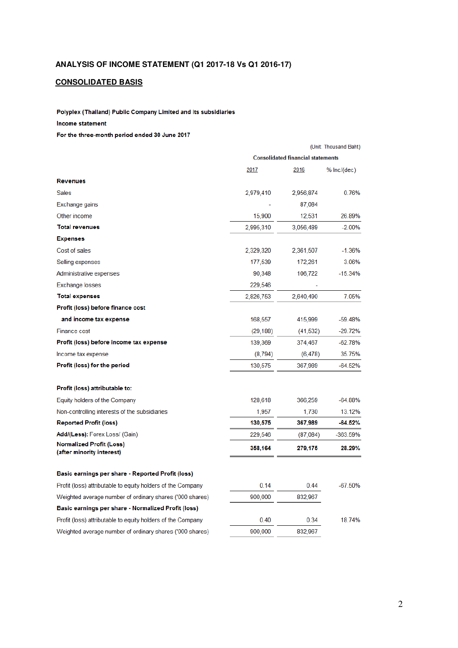# **CONSOLIDATED BASIS**

Polyplex (Thailand) Public Company Limited and its subsidiaries

#### Income statement

For the three-month period ended 30 June 2017

|                                                              | (Unit: Thousand Baht)                    |           |             |  |
|--------------------------------------------------------------|------------------------------------------|-----------|-------------|--|
|                                                              | <b>Consolidated financial statements</b> |           |             |  |
|                                                              | 2017                                     | 2016      | % Inc/(dec) |  |
| <b>Revenues</b>                                              |                                          |           |             |  |
| <b>Sales</b>                                                 | 2,979,410                                | 2,956,874 | 0.76%       |  |
| Exchange gains                                               |                                          | 87,084    |             |  |
| Other income                                                 | 15,900                                   | 12,531    | 26.89%      |  |
| <b>Total revenues</b>                                        | 2,995,310                                | 3,056,489 | $-2.00%$    |  |
| <b>Expenses</b>                                              |                                          |           |             |  |
| Cost of sales                                                | 2,329,320                                | 2,361,507 | $-1.36\%$   |  |
| Selling expenses                                             | 177,539                                  | 172,261   | 3.06%       |  |
| Administrative expenses                                      | 90,348                                   | 106,722   | $-15.34%$   |  |
| <b>Exchange losses</b>                                       | 229,546                                  |           |             |  |
| <b>Total expenses</b>                                        | 2,826,753                                | 2,640,490 | 7.05%       |  |
| Profit (loss) before finance cost                            |                                          |           |             |  |
| and income tax expense                                       | 168,557                                  | 415,999   | $-59.48%$   |  |
| <b>Finance cost</b>                                          | (29, 188)                                | (41, 532) | $-29.72%$   |  |
| Profit (loss) before income tax expense                      | 139,369                                  | 374,467   | -62.78%     |  |
| Income tax expense                                           | (8,794)                                  | (6, 478)  | 35.75%      |  |
| Profit (loss) for the period                                 | 130,575                                  | 367,989   | $-64.52%$   |  |
| Profit (loss) attributable to:                               |                                          |           |             |  |
| Equity holders of the Company                                | 128,618                                  | 366,259   | $-64.88%$   |  |
| Non-controlling interests of the subsidiaries                | 1,957                                    | 1,730     | 13.12%      |  |
| <b>Reported Profit (loss)</b>                                | 130,575                                  | 367,989   | $-64.52\%$  |  |
| Add/(Less): Forex Loss/ (Gain)                               | 229,546                                  | (87,084)  | -363.59%    |  |
| <b>Normalized Profit (Loss)</b><br>(after minority interest) | 358,164                                  | 279,175   | 28.29%      |  |
| Basic earnings per share - Reported Profit (loss)            |                                          |           |             |  |
| Profit (loss) attributable to equity holders of the Company  | 0.14                                     | 0.44      | $-67.50%$   |  |
| Weighted average number of ordinary shares ('000 shares)     | 900,000                                  | 832,967   |             |  |
| Basic earnings per share - Normalized Profit (loss)          |                                          |           |             |  |
| Profit (loss) attributable to equity holders of the Company  | 0.40                                     | 0.34      | 18.74%      |  |
| Weighted average number of ordinary shares ('000 shares)     | 900,000                                  | 832,967   |             |  |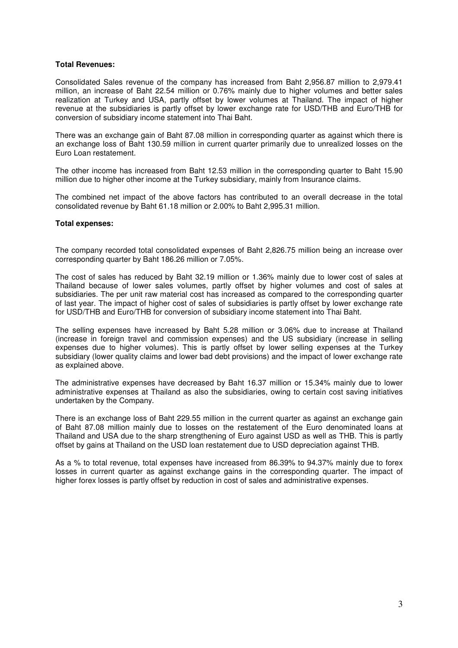## **Total Revenues:**

Consolidated Sales revenue of the company has increased from Baht 2,956.87 million to 2,979.41 million, an increase of Baht 22.54 million or 0.76% mainly due to higher volumes and better sales realization at Turkey and USA, partly offset by lower volumes at Thailand. The impact of higher revenue at the subsidiaries is partly offset by lower exchange rate for USD/THB and Euro/THB for conversion of subsidiary income statement into Thai Baht.

There was an exchange gain of Baht 87.08 million in corresponding quarter as against which there is an exchange loss of Baht 130.59 million in current quarter primarily due to unrealized losses on the Euro Loan restatement.

The other income has increased from Baht 12.53 million in the corresponding quarter to Baht 15.90 million due to higher other income at the Turkey subsidiary, mainly from Insurance claims.

The combined net impact of the above factors has contributed to an overall decrease in the total consolidated revenue by Baht 61.18 million or 2.00% to Baht 2,995.31 million.

#### **Total expenses:**

The company recorded total consolidated expenses of Baht 2,826.75 million being an increase over corresponding quarter by Baht 186.26 million or 7.05%.

The cost of sales has reduced by Baht 32.19 million or 1.36% mainly due to lower cost of sales at Thailand because of lower sales volumes, partly offset by higher volumes and cost of sales at subsidiaries. The per unit raw material cost has increased as compared to the corresponding quarter of last year. The impact of higher cost of sales of subsidiaries is partly offset by lower exchange rate for USD/THB and Euro/THB for conversion of subsidiary income statement into Thai Baht.

The selling expenses have increased by Baht 5.28 million or 3.06% due to increase at Thailand (increase in foreign travel and commission expenses) and the US subsidiary (increase in selling expenses due to higher volumes). This is partly offset by lower selling expenses at the Turkey subsidiary (lower quality claims and lower bad debt provisions) and the impact of lower exchange rate as explained above.

The administrative expenses have decreased by Baht 16.37 million or 15.34% mainly due to lower administrative expenses at Thailand as also the subsidiaries, owing to certain cost saving initiatives undertaken by the Company.

There is an exchange loss of Baht 229.55 million in the current quarter as against an exchange gain of Baht 87.08 million mainly due to losses on the restatement of the Euro denominated loans at Thailand and USA due to the sharp strengthening of Euro against USD as well as THB. This is partly offset by gains at Thailand on the USD loan restatement due to USD depreciation against THB.

As a % to total revenue, total expenses have increased from 86.39% to 94.37% mainly due to forex losses in current quarter as against exchange gains in the corresponding quarter. The impact of higher forex losses is partly offset by reduction in cost of sales and administrative expenses.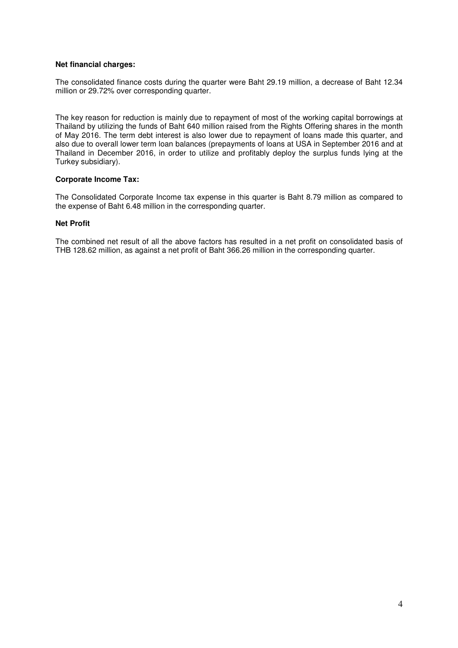## **Net financial charges:**

The consolidated finance costs during the quarter were Baht 29.19 million, a decrease of Baht 12.34 million or 29.72% over corresponding quarter.

The key reason for reduction is mainly due to repayment of most of the working capital borrowings at Thailand by utilizing the funds of Baht 640 million raised from the Rights Offering shares in the month of May 2016. The term debt interest is also lower due to repayment of loans made this quarter, and also due to overall lower term loan balances (prepayments of loans at USA in September 2016 and at Thailand in December 2016, in order to utilize and profitably deploy the surplus funds lying at the Turkey subsidiary).

## **Corporate Income Tax:**

The Consolidated Corporate Income tax expense in this quarter is Baht 8.79 million as compared to the expense of Baht 6.48 million in the corresponding quarter.

## **Net Profit**

The combined net result of all the above factors has resulted in a net profit on consolidated basis of THB 128.62 million, as against a net profit of Baht 366.26 million in the corresponding quarter.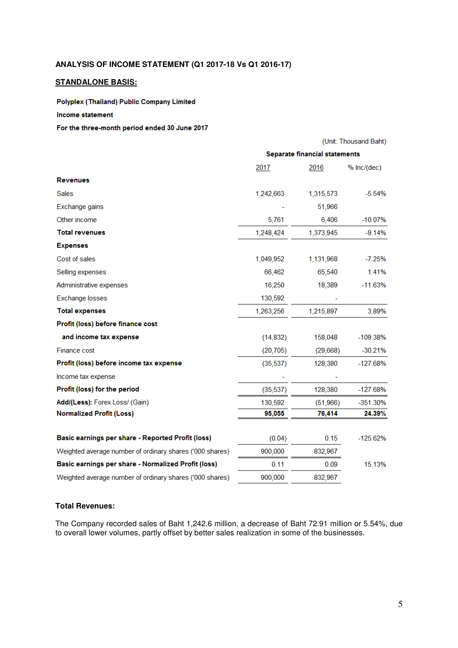## **ANALYSIS OF INCOME STATEMENT (Q1 2017-18 Vs Q1 2016-17)**

## **STANDALONE BASIS:**

Polyplex (Thailand) Public Company Limited

### Income statement

#### For the three-month period ended 30 June 2017

|                                                          | (Unit: Thousand Baht)                |           |             |  |  |
|----------------------------------------------------------|--------------------------------------|-----------|-------------|--|--|
|                                                          | <b>Separate financial statements</b> |           |             |  |  |
|                                                          | 2017                                 | 2016      | % Inc/(dec) |  |  |
| <b>Revenues</b>                                          |                                      |           |             |  |  |
| <b>Sales</b>                                             | 1,242,663                            | 1,315,573 | $-5.54%$    |  |  |
| Exchange gains                                           |                                      | 51,966    |             |  |  |
| Other income                                             | 5,761                                | 6,406     | $-10.07\%$  |  |  |
| <b>Total revenues</b>                                    | 1,248,424                            | 1,373,945 | $-9.14%$    |  |  |
| <b>Expenses</b>                                          |                                      |           |             |  |  |
| Cost of sales                                            | 1,049,952                            | 1,131,968 | $-7.25%$    |  |  |
| Selling expenses                                         | 66,462                               | 65,540    | 1.41%       |  |  |
| Administrative expenses                                  | 16,250                               | 18,389    | $-11.63%$   |  |  |
| <b>Exchange losses</b>                                   | 130,592                              |           |             |  |  |
| <b>Total expenses</b>                                    | 1,263,256                            | 1,215,897 | 3.89%       |  |  |
| Profit (loss) before finance cost                        |                                      |           |             |  |  |
| and income tax expense                                   | (14, 832)                            | 158,048   | $-109.38%$  |  |  |
| <b>Finance cost</b>                                      | (20, 705)                            | (29,668)  | $-30.21%$   |  |  |
| Profit (loss) before income tax expense                  | (35, 537)                            | 128,380   | $-127.68%$  |  |  |
| Income tax expense                                       |                                      |           |             |  |  |
| Profit (loss) for the period                             | (35, 537)                            | 128,380   | $-127.68%$  |  |  |
| Add/(Less): Forex Loss/ (Gain)                           | 130,592                              | (51,966)  | -351.30%    |  |  |
| <b>Normalized Profit (Loss)</b>                          | 95,055                               | 76,414    | 24.39%      |  |  |
|                                                          |                                      |           |             |  |  |
| Basic earnings per share - Reported Profit (loss)        | (0.04)                               | 0.15      | -125.62%    |  |  |
| Weighted average number of ordinary shares ('000 shares) | 900,000                              | 832,967   |             |  |  |
| Basic earnings per share - Normalized Profit (loss)      | 0.11                                 | 0.09      | 15.13%      |  |  |
| Weighted average number of ordinary shares ('000 shares) | 900,000                              | 832,967   |             |  |  |

## **Total Revenues:**

The Company recorded sales of Baht 1,242.6 million, a decrease of Baht 72.91 million or 5.54%, due to overall lower volumes, partly offset by better sales realization in some of the businesses.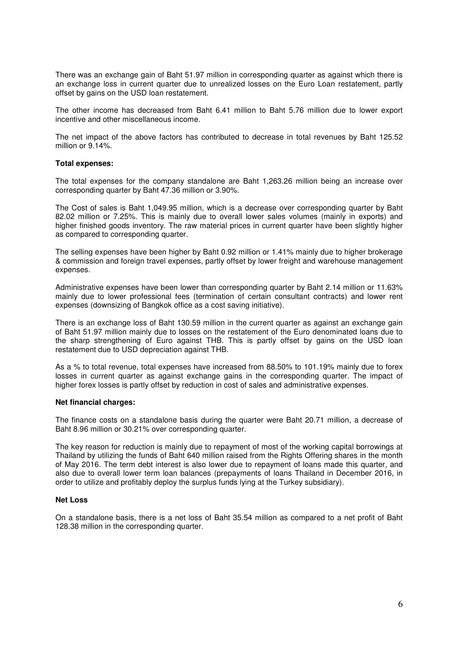There was an exchange gain of Baht 51.97 million in corresponding quarter as against which there is an exchange loss in current quarter due to unrealized losses on the Euro Loan restatement, partly offset by gains on the USD loan restatement.

The other income has decreased from Baht 6.41 million to Baht 5.76 million due to lower export incentive and other miscellaneous income.

The net impact of the above factors has contributed to decrease in total revenues by Baht 125.52 million or 9.14%.

#### **Total expenses:**

The total expenses for the company standalone are Baht 1,263.26 million being an increase over corresponding quarter by Baht 47.36 million or 3.90%.

The Cost of sales is Baht 1,049.95 million, which is a decrease over corresponding quarter by Baht 82.02 million or 7.25%. This is mainly due to overall lower sales volumes (mainly in exports) and higher finished goods inventory. The raw material prices in current quarter have been slightly higher as compared to corresponding quarter.

The selling expenses have been higher by Baht 0.92 million or 1.41% mainly due to higher brokerage & commission and foreign travel expenses, partly offset by lower freight and warehouse management expenses.

Administrative expenses have been lower than corresponding quarter by Baht 2.14 million or 11.63% mainly due to lower professional fees (termination of certain consultant contracts) and lower rent expenses (downsizing of Bangkok office as a cost saving initiative).

There is an exchange loss of Baht 130.59 million in the current quarter as against an exchange gain of Baht 51.97 million mainly due to losses on the restatement of the Euro denominated loans due to the sharp strengthening of Euro against THB. This is partly offset by gains on the USD loan restatement due to USD depreciation against THB.

As a % to total revenue, total expenses have increased from 88.50% to 101.19% mainly due to forex losses in current quarter as against exchange gains in the corresponding quarter. The impact of higher forex losses is partly offset by reduction in cost of sales and administrative expenses.

## **Net financial charges:**

The finance costs on a standalone basis during the quarter were Baht 20.71 million, a decrease of Baht 8.96 million or 30.21% over corresponding quarter.

The key reason for reduction is mainly due to repayment of most of the working capital borrowings at Thailand by utilizing the funds of Baht 640 million raised from the Rights Offering shares in the month of May 2016. The term debt interest is also lower due to repayment of loans made this quarter, and also due to overall lower term loan balances (prepayments of loans Thailand in December 2016, in order to utilize and profitably deploy the surplus funds lying at the Turkey subsidiary).

#### **Net Loss**

On a standalone basis, there is a net loss of Baht 35.54 million as compared to a net profit of Baht 128.38 million in the corresponding quarter.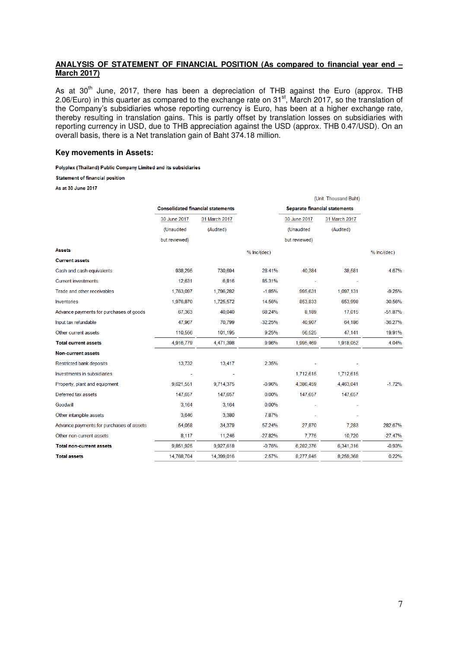## **ANALYSIS OF STATEMENT OF FINANCIAL POSITION (As compared to financial year end – March 2017)**

As at 30<sup>th</sup> June, 2017, there has been a depreciation of THB against the Euro (approx. THB 2.06/Euro) in this quarter as compared to the exchange rate on 31 $^{\text{st}}$ , March 2017, so the translation of the Company's subsidiaries whose reporting currency is Euro, has been at a higher exchange rate, thereby resulting in translation gains. This is partly offset by translation losses on subsidiaries with reporting currency in USD, due to THB appreciation against the USD (approx. THB 0.47/USD). On an overall basis, there is a Net translation gain of Baht 374.18 million.

#### **Key movements in Assets:**

Polyplex (Thailand) Public Company Limited and its subsidiaries

**Statement of financial position** 

As at 30 June 2017

|                                          |                                          |               |             |                                      | (Unit: Thousand Baht) |             |
|------------------------------------------|------------------------------------------|---------------|-------------|--------------------------------------|-----------------------|-------------|
|                                          | <b>Consolidated financial statements</b> |               |             | <b>Separate financial statements</b> |                       |             |
|                                          | 30 June 2017                             | 31 March 2017 |             | 30 June 2017                         | 31 March 2017         |             |
|                                          | (Unaudited                               | (Audited)     |             | (Unaudited                           | (Audited)             |             |
|                                          | but reviewed)                            |               |             | but reviewed)                        |                       |             |
| <b>Assets</b>                            |                                          |               | % lnc/(dec) |                                      |                       | % Inc/(dec) |
| <b>Current assets</b>                    |                                          |               |             |                                      |                       |             |
| Cash and cash equivalents                | 938,295                                  | 730,694       | 28.41%      | 40,384                               | 38,581                | 4.67%       |
| <b>Current investments</b>               | 12,631                                   | 6,816         | 85.31%      |                                      |                       |             |
| Trade and other receivables              | 1,763,097                                | 1,796,282     | $-1.85%$    | 995,631                              | 1,097,131             | $-9.25%$    |
| Inventories                              | 1,976,870                                | 1,725,572     | 14.56%      | 853,833                              | 653,998               | 30.56%      |
| Advance payments for purchases of goods  | 67,363                                   | 40,040        | 68.24%      | 8.189                                | 17,015                | $-51.87%$   |
| Input tax refundable                     | 47,967                                   | 70,799        | $-32.25%$   | 40,907                               | 64,186                | $-36.27%$   |
| Other current assets                     | 110,556                                  | 101,195       | 9.25%       | 56,525                               | 47,141                | 19.91%      |
| <b>Total current assets</b>              | 4,916,779                                | 4,471,398     | 9.96%       | 1,995,469                            | 1,918,052             | 4.04%       |
| <b>Non-current assets</b>                |                                          |               |             |                                      |                       |             |
| Restricted bank deposits                 | 13,732                                   | 13,417        | 2.35%       |                                      |                       |             |
| Investments in subsidiaries              |                                          |               |             | 1,712,615                            | 1,712,615             |             |
| Property, plant and equipment            | 9,621,551                                | 9,714,375     | $-0.96%$    | 4,386,459                            | 4,463,041             | $-1.72%$    |
| Deferred tax assets                      | 147,657                                  | 147,657       | 0.00%       | 147,657                              | 147,657               |             |
| Goodwill                                 | 3,164                                    | 3,164         | 0.00%       |                                      |                       |             |
| Other intangible assets                  | 3,646                                    | 3,380         | 7.87%       |                                      |                       |             |
| Advance payments for purchases of assets | 54,058                                   | 34,379        | 57.24%      | 27,870                               | 7,283                 | 282.67%     |
| Other non-current assets                 | 8,117                                    | 11,246        | $-27.82%$   | 7,775                                | 10,720                | $-27.47%$   |
| <b>Total non-current assets</b>          | 9,851,925                                | 9,927,618     | $-0.76%$    | 6,282,376                            | 6,341,316             | $-0.93%$    |
| <b>Total assets</b>                      | 14,768,704                               | 14,399,016    | 2.57%       | 8,277,845                            | 8,259,368             | 0.22%       |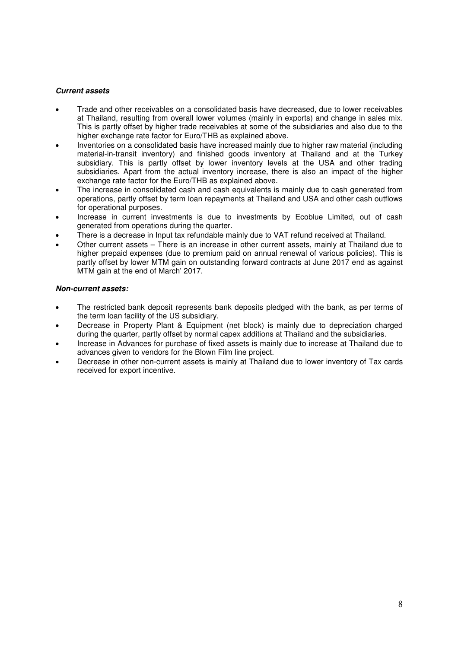## **Current assets**

- Trade and other receivables on a consolidated basis have decreased, due to lower receivables at Thailand, resulting from overall lower volumes (mainly in exports) and change in sales mix. This is partly offset by higher trade receivables at some of the subsidiaries and also due to the higher exchange rate factor for Euro/THB as explained above.
- Inventories on a consolidated basis have increased mainly due to higher raw material (including material-in-transit inventory) and finished goods inventory at Thailand and at the Turkey subsidiary. This is partly offset by lower inventory levels at the USA and other trading subsidiaries. Apart from the actual inventory increase, there is also an impact of the higher exchange rate factor for the Euro/THB as explained above.
- The increase in consolidated cash and cash equivalents is mainly due to cash generated from operations, partly offset by term loan repayments at Thailand and USA and other cash outflows for operational purposes.
- Increase in current investments is due to investments by Ecoblue Limited, out of cash generated from operations during the quarter.
- There is a decrease in Input tax refundable mainly due to VAT refund received at Thailand.
- Other current assets There is an increase in other current assets, mainly at Thailand due to higher prepaid expenses (due to premium paid on annual renewal of various policies). This is partly offset by lower MTM gain on outstanding forward contracts at June 2017 end as against MTM gain at the end of March' 2017.

## **Non-current assets:**

- The restricted bank deposit represents bank deposits pledged with the bank, as per terms of the term loan facility of the US subsidiary.
- Decrease in Property Plant & Equipment (net block) is mainly due to depreciation charged during the quarter, partly offset by normal capex additions at Thailand and the subsidiaries.
- Increase in Advances for purchase of fixed assets is mainly due to increase at Thailand due to advances given to vendors for the Blown Film line project.
- Decrease in other non-current assets is mainly at Thailand due to lower inventory of Tax cards received for export incentive.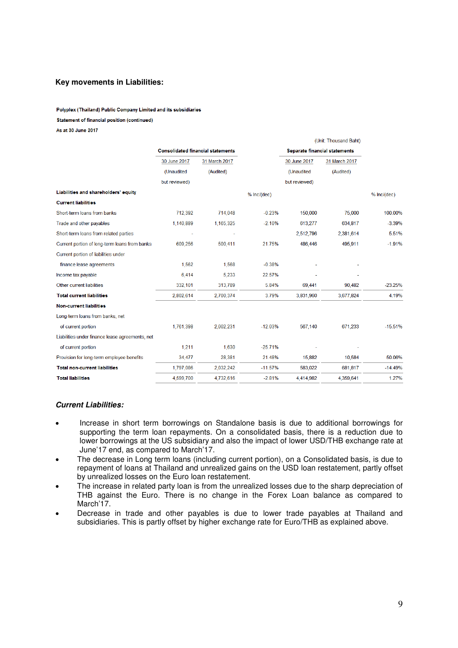## **Key movements in Liabilities:**

# Polyplex (Thailand) Public Company Limited and its subsidiaries Statement of financial position (continued)

As at 30 June 2017

|                                                 |                                          |               |               |                                      | (Unit: Thousand Baht) |             |
|-------------------------------------------------|------------------------------------------|---------------|---------------|--------------------------------------|-----------------------|-------------|
|                                                 | <b>Consolidated financial statements</b> |               |               | <b>Separate financial statements</b> |                       |             |
|                                                 | 30 June 2017                             | 31 March 2017 |               | 30 June 2017                         | 31 March 2017         |             |
|                                                 | (Unaudited                               | (Audited)     |               | (Unaudited                           | (Audited)             |             |
|                                                 | but reviewed)                            |               |               | but reviewed)                        |                       |             |
| Liabilities and shareholders' equity            |                                          |               | $%$ Inc/(dec) |                                      |                       | % Inc/(dec) |
| <b>Current liabilities</b>                      |                                          |               |               |                                      |                       |             |
| Short-term loans from banks                     | 712,392                                  | 714,048       | $-0.23%$      | 150,000                              | 75,000                | 100.00%     |
| Trade and other payables                        | 1,140,889                                | 1,165,325     | $-2.10%$      | 613.277                              | 634.817               | $-3.39%$    |
| Short-term loans from related parties           |                                          |               |               | 2,512,796                            | 2,381,614             | 5.51%       |
| Current portion of long-term loans from banks   | 609,256                                  | 500,411       | 21.75%        | 486,446                              | 495,911               | $-1.91%$    |
| Current portion of liabilities under            |                                          |               |               |                                      |                       |             |
| finance lease agreements                        | 1,562                                    | 1,568         | $-0.38%$      |                                      |                       |             |
| Income tax payable                              | 6,414                                    | 5,233         | 22.57%        |                                      |                       |             |
| Other current liabilities                       | 332,101                                  | 313,789       | 5.84%         | 69,441                               | 90,482                | $-23.25%$   |
| <b>Total current liabilities</b>                | 2,802,614                                | 2,700,374     | 3.79%         | 3,831,960                            | 3,677,824             | 4.19%       |
| <b>Non-current liabilities</b>                  |                                          |               |               |                                      |                       |             |
| Long-term loans from banks, net                 |                                          |               |               |                                      |                       |             |
| of current portion                              | 1,761,398                                | 2,002,231     | $-12.03%$     | 567,140                              | 671,233               | $-15.51%$   |
| Liabilities under finance lease agreements, net |                                          |               |               |                                      |                       |             |
| of current portion                              | 1,211                                    | 1,630         | $-25.71%$     |                                      |                       |             |
| Provision for long-term employee benefits       | 34,477                                   | 28,381        | 21.48%        | 15,882                               | 10,584                | 50.06%      |
| <b>Total non-current liabilities</b>            | 1,797,086                                | 2,032,242     | $-11.57%$     | 583,022                              | 681,817               | $-14.49%$   |
| <b>Total liabilities</b>                        | 4,599,700                                | 4,732,616     | $-2.81%$      | 4,414,982                            | 4,359,641             | 1.27%       |

## **Current Liabilities:**

- Increase in short term borrowings on Standalone basis is due to additional borrowings for supporting the term loan repayments. On a consolidated basis, there is a reduction due to lower borrowings at the US subsidiary and also the impact of lower USD/THB exchange rate at June'17 end, as compared to March'17.
- The decrease in Long term loans (including current portion), on a Consolidated basis, is due to repayment of loans at Thailand and unrealized gains on the USD loan restatement, partly offset by unrealized losses on the Euro loan restatement.
- The increase in related party loan is from the unrealized losses due to the sharp depreciation of THB against the Euro. There is no change in the Forex Loan balance as compared to March<sup>'17</sup>.
- Decrease in trade and other payables is due to lower trade payables at Thailand and subsidiaries. This is partly offset by higher exchange rate for Euro/THB as explained above.